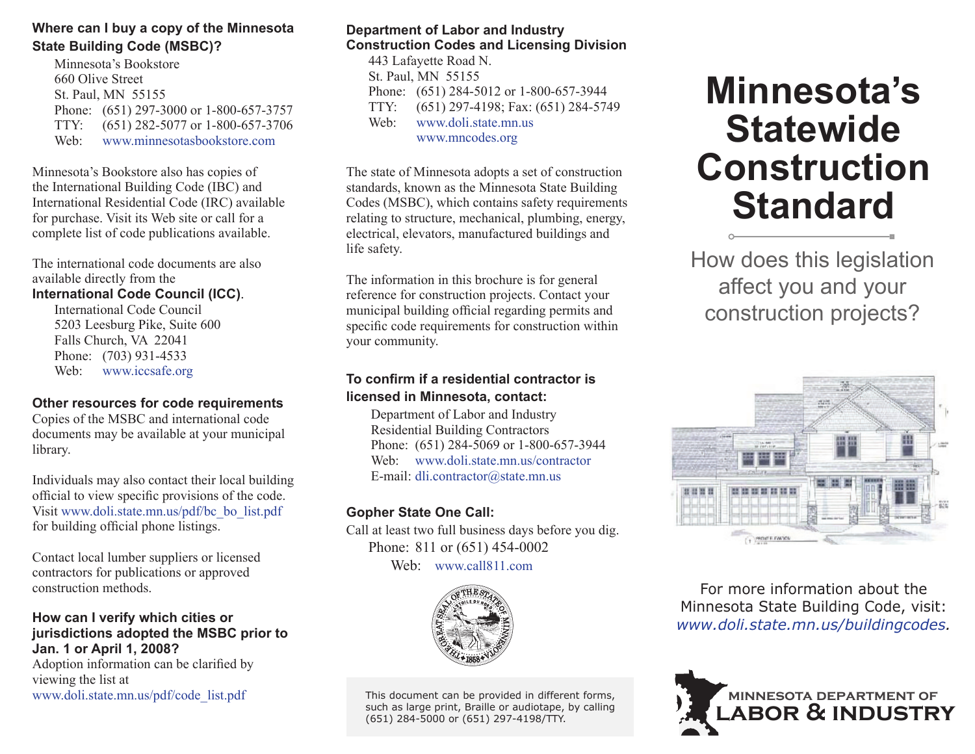# **Where can I buy a copy of the Minnesota State Building Code (MSBC)?**

Minnesota's Bookstore 660 Olive Street St. Paul, MN 55155 Phone: (651) 297-3000 or 1-800-657-3757 TTY: (651) 282-5077 or 1-800-657-3706 Web: www.minnesotasbookstore.com

Minnesota's Bookstore also has copies of the International Building Code (IBC) and International Residential Code (IRC) available for purchase. Visit its Web site or call for a complete list of code publications available.

The international code documents are alsoavailable directly from the

### **International Code Council (ICC)**.

International Code Council 5203 Leesburg Pike, Suite 600 Falls Church, VA 22041 Phone: (703) 931-4533 Web: www.iccsafe.org

#### **Other resources for code requirements**

Copies of the MSBC and international code documents may be available at your municipal library.

Individuals may also contact their local building official to view specific provisions of the code. Visit www.doli.state.mn.us/pdf/bc\_bo\_list.pdf for building official phone listings.

Contact local lumber suppliers or licensed contractors for publications or approved construction methods.

# **How can I verify which cities or jurisdictions adopted the MSBC prior to Jan. 1 or April 1, 2008?**

Adoption information can be clarified by viewing the list at www.doli.state.mn.us/pdf/code\_list.pdf

# **Department of Labor and Industry Construction Codes and Licensing Division**

443 Lafayette Road N. St. Paul, MN 55155 Phone: (651) 284-5012 or 1-800-657-3944 TTY: (651) 297-4198; Fax: (651) 284-5749 Web: www.doli.state.mn.us www.mncodes.org

The state of Minnesota adopts a set of construction standards, known as the Minnesota State Building Codes (MSBC), which contains safety requirements relating to structure, mechanical, plumbing, energy, electrical, elevators, manufactured buildings and life safety.

The information in this brochure is for general reference for construction projects. Contact your municipal building official regarding permits and specific code requirements for construction within your community.

# **To confi rm if a residential contractor is licensed in Minnesota, contact:**

Department of Labor and Industry Residential Building Contractors Phone: (651) 284-5069 or 1-800-657-3944 Web: www.doli.state.mn.us/contractor E-mail: dli.contractor@state.mn.us

# **Gopher State One Call:**

Call at least two full business days before you dig. Phone: 811 or (651) 454-0002 Web: www.call811.com



This document can be provided in different forms, such as large print, Braille or audiotape, by calling (651) 284-5000 or (651) 297-4198/TTY.

# **Minnesota's Statewide Construction Standard**

How does this legislation affect you and your construction projects?



For more information about the Minnesota State Building Code, visit: *www.doli.state.mn.us/buildingcodes.*